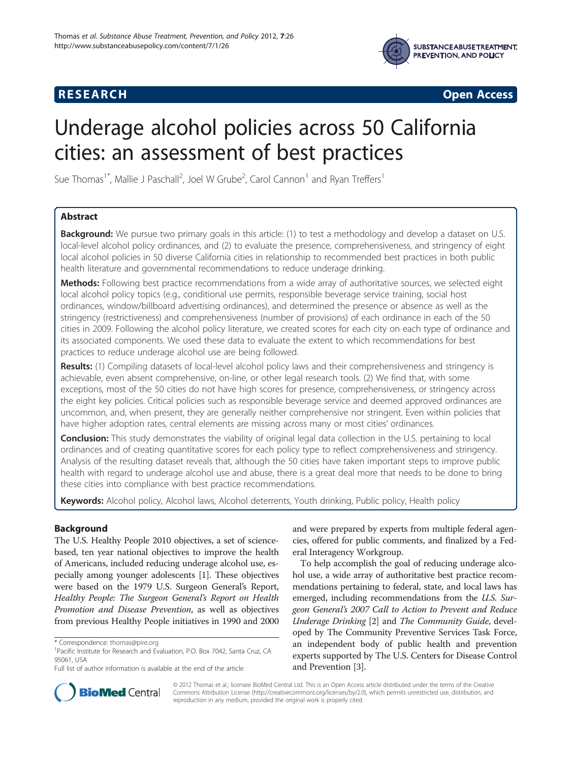



# Underage alcohol policies across 50 California cities: an assessment of best practices

Sue Thomas<sup>1\*</sup>, Mallie J Paschall<sup>2</sup>, Joel W Grube<sup>2</sup>, Carol Cannon<sup>1</sup> and Ryan Treffers<sup>1</sup>

### Abstract

Background: We pursue two primary goals in this article: (1) to test a methodology and develop a dataset on U.S. local-level alcohol policy ordinances, and (2) to evaluate the presence, comprehensiveness, and stringency of eight local alcohol policies in 50 diverse California cities in relationship to recommended best practices in both public health literature and governmental recommendations to reduce underage drinking.

Methods: Following best practice recommendations from a wide array of authoritative sources, we selected eight local alcohol policy topics (e.g., conditional use permits, responsible beverage service training, social host ordinances, window/billboard advertising ordinances), and determined the presence or absence as well as the stringency (restrictiveness) and comprehensiveness (number of provisions) of each ordinance in each of the 50 cities in 2009. Following the alcohol policy literature, we created scores for each city on each type of ordinance and its associated components. We used these data to evaluate the extent to which recommendations for best practices to reduce underage alcohol use are being followed.

Results: (1) Compiling datasets of local-level alcohol policy laws and their comprehensiveness and stringency is achievable, even absent comprehensive, on-line, or other legal research tools. (2) We find that, with some exceptions, most of the 50 cities do not have high scores for presence, comprehensiveness, or stringency across the eight key policies. Critical policies such as responsible beverage service and deemed approved ordinances are uncommon, and, when present, they are generally neither comprehensive nor stringent. Even within policies that have higher adoption rates, central elements are missing across many or most cities' ordinances.

**Conclusion:** This study demonstrates the viability of original legal data collection in the U.S. pertaining to local ordinances and of creating quantitative scores for each policy type to reflect comprehensiveness and stringency. Analysis of the resulting dataset reveals that, although the 50 cities have taken important steps to improve public health with regard to underage alcohol use and abuse, there is a great deal more that needs to be done to bring these cities into compliance with best practice recommendations.

Keywords: Alcohol policy, Alcohol laws, Alcohol deterrents, Youth drinking, Public policy, Health policy

### Background

The U.S. Healthy People 2010 objectives, a set of sciencebased, ten year national objectives to improve the health of Americans, included reducing underage alcohol use, especially among younger adolescents [\[1\]](#page-11-0). These objectives were based on the 1979 U.S. Surgeon General's Report, Healthy People: The Surgeon General's Report on Health Promotion and Disease Prevention, as well as objectives from previous Healthy People initiatives in 1990 and 2000 and were prepared by experts from multiple federal agencies, offered for public comments, and finalized by a Federal Interagency Workgroup.

To help accomplish the goal of reducing underage alcohol use, a wide array of authoritative best practice recommendations pertaining to federal, state, and local laws has emerged, including recommendations from the U.S. Surgeon General's 2007 Call to Action to Prevent and Reduce Underage Drinking [\[2\]](#page-11-0) and The Community Guide, developed by The Community Preventive Services Task Force, an independent body of public health and prevention experts supported by The U.S. Centers for Disease Control and Prevention [\[3](#page-11-0)].



© 2012 Thomas et al.; licensee BioMed Central Ltd. This is an Open Access article distributed under the terms of the Creative Commons Attribution License [\(http://creativecommons.org/licenses/by/2.0\)](http://creativecommons.org/licenses/by/2.0), which permits unrestricted use, distribution, and reproduction in any medium, provided the original work is properly cited.

<sup>\*</sup> Correspondence: [thomas@pire.org](mailto:thomas@pire.org) <sup>1</sup>

<sup>&</sup>lt;sup>1</sup> Pacific Institute for Research and Evaluation, P.O. Box 7042, Santa Cruz, CA 95061, USA

Full list of author information is available at the end of the article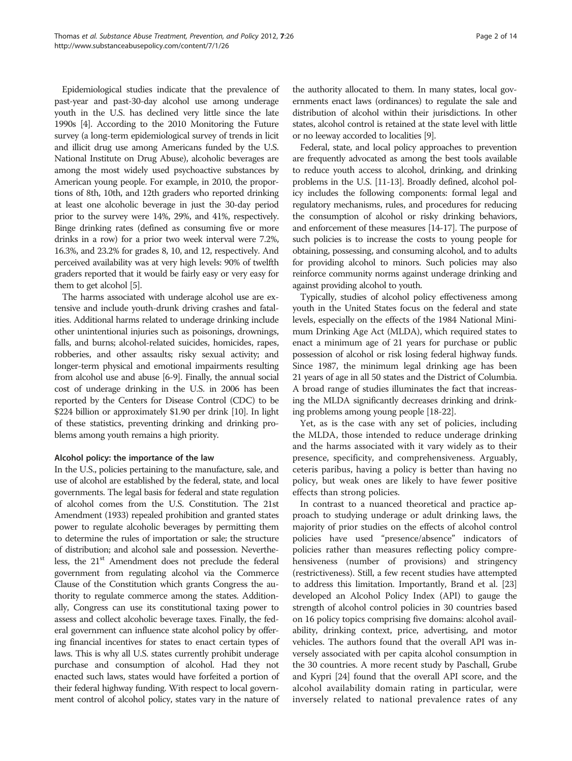Epidemiological studies indicate that the prevalence of past-year and past-30-day alcohol use among underage youth in the U.S. has declined very little since the late 1990s [[4](#page-11-0)]. According to the 2010 Monitoring the Future survey (a long-term epidemiological survey of trends in licit and illicit drug use among Americans funded by the U.S. National Institute on Drug Abuse), alcoholic beverages are among the most widely used psychoactive substances by American young people. For example, in 2010, the proportions of 8th, 10th, and 12th graders who reported drinking at least one alcoholic beverage in just the 30-day period prior to the survey were 14%, 29%, and 41%, respectively. Binge drinking rates (defined as consuming five or more drinks in a row) for a prior two week interval were 7.2%, 16.3%, and 23.2% for grades 8, 10, and 12, respectively. And perceived availability was at very high levels: 90% of twelfth graders reported that it would be fairly easy or very easy for them to get alcohol [\[5\]](#page-11-0).

The harms associated with underage alcohol use are extensive and include youth-drunk driving crashes and fatalities. Additional harms related to underage drinking include other unintentional injuries such as poisonings, drownings, falls, and burns; alcohol-related suicides, homicides, rapes, robberies, and other assaults; risky sexual activity; and longer-term physical and emotional impairments resulting from alcohol use and abuse [\[6-9\]](#page-11-0). Finally, the annual social cost of underage drinking in the U.S. in 2006 has been reported by the Centers for Disease Control (CDC) to be \$224 billion or approximately \$1.90 per drink [\[10](#page-11-0)]. In light of these statistics, preventing drinking and drinking problems among youth remains a high priority.

### Alcohol policy: the importance of the law

In the U.S., policies pertaining to the manufacture, sale, and use of alcohol are established by the federal, state, and local governments. The legal basis for federal and state regulation of alcohol comes from the U.S. Constitution. The 21st Amendment (1933) repealed prohibition and granted states power to regulate alcoholic beverages by permitting them to determine the rules of importation or sale; the structure of distribution; and alcohol sale and possession. Nevertheless, the 21<sup>st</sup> Amendment does not preclude the federal government from regulating alcohol via the Commerce Clause of the Constitution which grants Congress the authority to regulate commerce among the states. Additionally, Congress can use its constitutional taxing power to assess and collect alcoholic beverage taxes. Finally, the federal government can influence state alcohol policy by offering financial incentives for states to enact certain types of laws. This is why all U.S. states currently prohibit underage purchase and consumption of alcohol. Had they not enacted such laws, states would have forfeited a portion of their federal highway funding. With respect to local government control of alcohol policy, states vary in the nature of the authority allocated to them. In many states, local governments enact laws (ordinances) to regulate the sale and distribution of alcohol within their jurisdictions. In other states, alcohol control is retained at the state level with little or no leeway accorded to localities [\[9](#page-11-0)].

Federal, state, and local policy approaches to prevention are frequently advocated as among the best tools available to reduce youth access to alcohol, drinking, and drinking problems in the U.S. [\[11-13\]](#page-11-0). Broadly defined, alcohol policy includes the following components: formal legal and regulatory mechanisms, rules, and procedures for reducing the consumption of alcohol or risky drinking behaviors, and enforcement of these measures [[14](#page-12-0)-[17\]](#page-12-0). The purpose of such policies is to increase the costs to young people for obtaining, possessing, and consuming alcohol, and to adults for providing alcohol to minors. Such policies may also reinforce community norms against underage drinking and against providing alcohol to youth.

Typically, studies of alcohol policy effectiveness among youth in the United States focus on the federal and state levels, especially on the effects of the 1984 National Minimum Drinking Age Act (MLDA), which required states to enact a minimum age of 21 years for purchase or public possession of alcohol or risk losing federal highway funds. Since 1987, the minimum legal drinking age has been 21 years of age in all 50 states and the District of Columbia. A broad range of studies illuminates the fact that increasing the MLDA significantly decreases drinking and drinking problems among young people [\[18-22\]](#page-12-0).

Yet, as is the case with any set of policies, including the MLDA, those intended to reduce underage drinking and the harms associated with it vary widely as to their presence, specificity, and comprehensiveness. Arguably, ceteris paribus, having a policy is better than having no policy, but weak ones are likely to have fewer positive effects than strong policies.

In contrast to a nuanced theoretical and practice approach to studying underage or adult drinking laws, the majority of prior studies on the effects of alcohol control policies have used "presence/absence" indicators of policies rather than measures reflecting policy comprehensiveness (number of provisions) and stringency (restrictiveness). Still, a few recent studies have attempted to address this limitation. Importantly, Brand et al. [[23](#page-12-0)] developed an Alcohol Policy Index (API) to gauge the strength of alcohol control policies in 30 countries based on 16 policy topics comprising five domains: alcohol availability, drinking context, price, advertising, and motor vehicles. The authors found that the overall API was inversely associated with per capita alcohol consumption in the 30 countries. A more recent study by Paschall, Grube and Kypri [[24\]](#page-12-0) found that the overall API score, and the alcohol availability domain rating in particular, were inversely related to national prevalence rates of any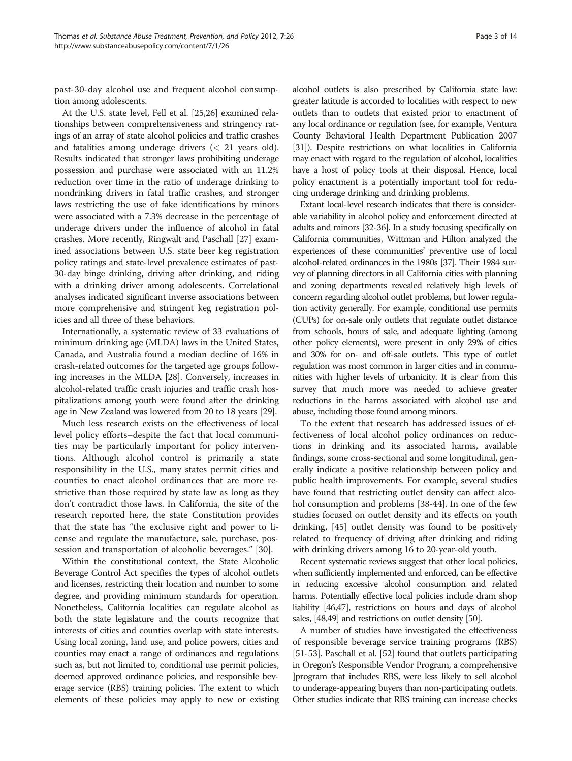past-30-day alcohol use and frequent alcohol consumption among adolescents.

At the U.S. state level, Fell et al. [[25,26\]](#page-12-0) examined relationships between comprehensiveness and stringency ratings of an array of state alcohol policies and traffic crashes and fatalities among underage drivers (< 21 years old). Results indicated that stronger laws prohibiting underage possession and purchase were associated with an 11.2% reduction over time in the ratio of underage drinking to nondrinking drivers in fatal traffic crashes, and stronger laws restricting the use of fake identifications by minors were associated with a 7.3% decrease in the percentage of underage drivers under the influence of alcohol in fatal crashes. More recently, Ringwalt and Paschall [\[27](#page-12-0)] examined associations between U.S. state beer keg registration policy ratings and state-level prevalence estimates of past-30-day binge drinking, driving after drinking, and riding with a drinking driver among adolescents. Correlational analyses indicated significant inverse associations between more comprehensive and stringent keg registration policies and all three of these behaviors.

Internationally, a systematic review of 33 evaluations of minimum drinking age (MLDA) laws in the United States, Canada, and Australia found a median decline of 16% in crash-related outcomes for the targeted age groups following increases in the MLDA [\[28\]](#page-12-0). Conversely, increases in alcohol-related traffic crash injuries and traffic crash hospitalizations among youth were found after the drinking age in New Zealand was lowered from 20 to 18 years [[29](#page-12-0)].

Much less research exists on the effectiveness of local level policy efforts–despite the fact that local communities may be particularly important for policy interventions. Although alcohol control is primarily a state responsibility in the U.S., many states permit cities and counties to enact alcohol ordinances that are more restrictive than those required by state law as long as they don't contradict those laws. In California, the site of the research reported here, the state Constitution provides that the state has "the exclusive right and power to license and regulate the manufacture, sale, purchase, possession and transportation of alcoholic beverages." [\[30](#page-12-0)].

Within the constitutional context, the State Alcoholic Beverage Control Act specifies the types of alcohol outlets and licenses, restricting their location and number to some degree, and providing minimum standards for operation. Nonetheless, California localities can regulate alcohol as both the state legislature and the courts recognize that interests of cities and counties overlap with state interests. Using local zoning, land use, and police powers, cities and counties may enact a range of ordinances and regulations such as, but not limited to, conditional use permit policies, deemed approved ordinance policies, and responsible beverage service (RBS) training policies. The extent to which elements of these policies may apply to new or existing

alcohol outlets is also prescribed by California state law: greater latitude is accorded to localities with respect to new outlets than to outlets that existed prior to enactment of any local ordinance or regulation (see, for example, Ventura County Behavioral Health Department Publication 2007 [[31](#page-12-0)]). Despite restrictions on what localities in California may enact with regard to the regulation of alcohol, localities have a host of policy tools at their disposal. Hence, local policy enactment is a potentially important tool for reducing underage drinking and drinking problems.

Extant local-level research indicates that there is considerable variability in alcohol policy and enforcement directed at adults and minors [\[32-36\]](#page-12-0). In a study focusing specifically on California communities, Wittman and Hilton analyzed the experiences of these communities' preventive use of local alcohol-related ordinances in the 1980s [\[37\]](#page-12-0). Their 1984 survey of planning directors in all California cities with planning and zoning departments revealed relatively high levels of concern regarding alcohol outlet problems, but lower regulation activity generally. For example, conditional use permits (CUPs) for on-sale only outlets that regulate outlet distance from schools, hours of sale, and adequate lighting (among other policy elements), were present in only 29% of cities and 30% for on- and off-sale outlets. This type of outlet regulation was most common in larger cities and in communities with higher levels of urbanicity. It is clear from this survey that much more was needed to achieve greater reductions in the harms associated with alcohol use and abuse, including those found among minors.

To the extent that research has addressed issues of effectiveness of local alcohol policy ordinances on reductions in drinking and its associated harms, available findings, some cross-sectional and some longitudinal, generally indicate a positive relationship between policy and public health improvements. For example, several studies have found that restricting outlet density can affect alcohol consumption and problems [[38](#page-12-0)-[44](#page-12-0)]. In one of the few studies focused on outlet density and its effects on youth drinking, [\[45](#page-12-0)] outlet density was found to be positively related to frequency of driving after drinking and riding with drinking drivers among 16 to 20-year-old youth.

Recent systematic reviews suggest that other local policies, when sufficiently implemented and enforced, can be effective in reducing excessive alcohol consumption and related harms. Potentially effective local policies include dram shop liability [\[46,47](#page-12-0)], restrictions on hours and days of alcohol sales, [\[48,49](#page-12-0)] and restrictions on outlet density [\[50](#page-12-0)].

A number of studies have investigated the effectiveness of responsible beverage service training programs (RBS) [[51](#page-12-0)-[53\]](#page-12-0). Paschall et al. [\[52\]](#page-12-0) found that outlets participating in Oregon's Responsible Vendor Program, a comprehensive ]program that includes RBS, were less likely to sell alcohol to underage-appearing buyers than non-participating outlets. Other studies indicate that RBS training can increase checks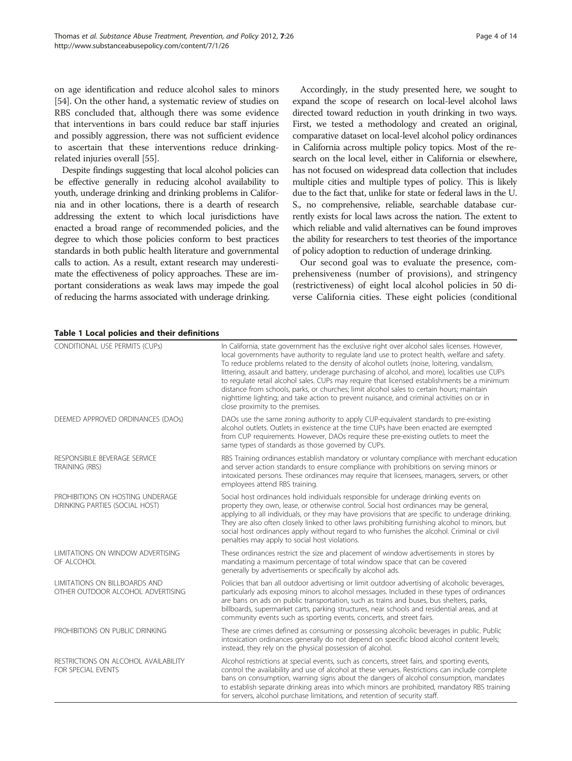<span id="page-3-0"></span>on age identification and reduce alcohol sales to minors [[54](#page-12-0)]. On the other hand, a systematic review of studies on RBS concluded that, although there was some evidence that interventions in bars could reduce bar staff injuries and possibly aggression, there was not sufficient evidence to ascertain that these interventions reduce drinkingrelated injuries overall [\[55\]](#page-12-0).

Despite findings suggesting that local alcohol policies can be effective generally in reducing alcohol availability to youth, underage drinking and drinking problems in California and in other locations, there is a dearth of research addressing the extent to which local jurisdictions have enacted a broad range of recommended policies, and the degree to which those policies conform to best practices standards in both public health literature and governmental calls to action. As a result, extant research may underestimate the effectiveness of policy approaches. These are important considerations as weak laws may impede the goal of reducing the harms associated with underage drinking.

Accordingly, in the study presented here, we sought to expand the scope of research on local-level alcohol laws directed toward reduction in youth drinking in two ways. First, we tested a methodology and created an original, comparative dataset on local-level alcohol policy ordinances in California across multiple policy topics. Most of the research on the local level, either in California or elsewhere, has not focused on widespread data collection that includes multiple cities and multiple types of policy. This is likely due to the fact that, unlike for state or federal laws in the U. S., no comprehensive, reliable, searchable database currently exists for local laws across the nation. The extent to which reliable and valid alternatives can be found improves the ability for researchers to test theories of the importance of policy adoption to reduction of underage drinking.

Our second goal was to evaluate the presence, comprehensiveness (number of provisions), and stringency (restrictiveness) of eight local alcohol policies in 50 diverse California cities. These eight policies (conditional

| CONDITIONAL USE PERMITS (CUPs)                                     | In California, state government has the exclusive right over alcohol sales licenses. However,<br>local governments have authority to regulate land use to protect health, welfare and safety.<br>To reduce problems related to the density of alcohol outlets (noise, loitering, vandalism,<br>littering, assault and battery, underage purchasing of alcohol, and more), localities use CUPs<br>to regulate retail alcohol sales. CUPs may require that licensed establishments be a minimum<br>distance from schools, parks, or churches; limit alcohol sales to certain hours; maintain<br>nighttime lighting; and take action to prevent nuisance, and criminal activities on or in<br>close proximity to the premises. |
|--------------------------------------------------------------------|-----------------------------------------------------------------------------------------------------------------------------------------------------------------------------------------------------------------------------------------------------------------------------------------------------------------------------------------------------------------------------------------------------------------------------------------------------------------------------------------------------------------------------------------------------------------------------------------------------------------------------------------------------------------------------------------------------------------------------|
| DEEMED APPROVED ORDINANCES (DAOs)                                  | DAOs use the same zoning authority to apply CUP-equivalent standards to pre-existing<br>alcohol outlets. Outlets in existence at the time CUPs have been enacted are exempted<br>from CUP requirements. However, DAOs require these pre-existing outlets to meet the<br>same types of standards as those governed by CUPs.                                                                                                                                                                                                                                                                                                                                                                                                  |
| RESPONSIBILE BEVERAGE SERVICE<br>TRAINING (RBS)                    | RBS Training ordinances establish mandatory or voluntary compliance with merchant education<br>and server action standards to ensure compliance with prohibitions on serving minors or<br>intoxicated persons. These ordinances may require that licensees, managers, servers, or other<br>employees attend RBS training.                                                                                                                                                                                                                                                                                                                                                                                                   |
| PROHIBITIONS ON HOSTING UNDERAGE<br>DRINKING PARTIES (SOCIAL HOST) | Social host ordinances hold individuals responsible for underage drinking events on<br>property they own, lease, or otherwise control. Social host ordinances may be general,<br>applying to all individuals, or they may have provisions that are specific to underage drinking.<br>They are also often closely linked to other laws prohibiting furnishing alcohol to minors, but<br>social host ordinances apply without regard to who furnishes the alcohol. Criminal or civil<br>penalties may apply to social host violations.                                                                                                                                                                                        |
| LIMITATIONS ON WINDOW ADVERTISING<br>OF ALCOHOL                    | These ordinances restrict the size and placement of window advertisements in stores by<br>mandating a maximum percentage of total window space that can be covered<br>generally by advertisements or specifically by alcohol ads.                                                                                                                                                                                                                                                                                                                                                                                                                                                                                           |
| LIMITATIONS ON BILLBOARDS AND<br>OTHER OUTDOOR ALCOHOL ADVERTISING | Policies that ban all outdoor advertising or limit outdoor advertising of alcoholic beverages,<br>particularly ads exposing minors to alcohol messages. Included in these types of ordinances<br>are bans on ads on public transportation, such as trains and buses, bus shelters, parks,<br>billboards, supermarket carts, parking structures, near schools and residential areas, and at<br>community events such as sporting events, concerts, and street fairs.                                                                                                                                                                                                                                                         |
| PROHIBITIONS ON PUBLIC DRINKING                                    | These are crimes defined as consuming or possessing alcoholic beverages in public. Public<br>intoxication ordinances generally do not depend on specific blood alcohol content levels;<br>instead, they rely on the physical possession of alcohol.                                                                                                                                                                                                                                                                                                                                                                                                                                                                         |
| RESTRICTIONS ON ALCOHOL AVAILABILITY<br>FOR SPECIAL EVENTS         | Alcohol restrictions at special events, such as concerts, street fairs, and sporting events,<br>control the availability and use of alcohol at these venues. Restrictions can include complete<br>bans on consumption, warning signs about the dangers of alcohol consumption, mandates<br>to establish separate drinking areas into which minors are prohibited, mandatory RBS training<br>for servers, alcohol purchase limitations, and retention of security staff.                                                                                                                                                                                                                                                     |

### Table 1 Local policies and their definitions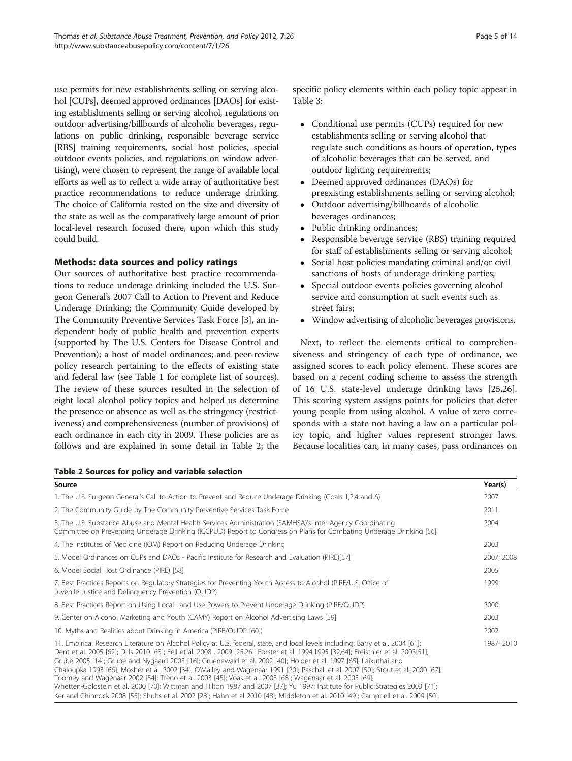use permits for new establishments selling or serving alcohol [CUPs], deemed approved ordinances [DAOs] for existing establishments selling or serving alcohol, regulations on outdoor advertising/billboards of alcoholic beverages, regulations on public drinking, responsible beverage service [RBS] training requirements, social host policies, special outdoor events policies, and regulations on window advertising), were chosen to represent the range of available local efforts as well as to reflect a wide array of authoritative best practice recommendations to reduce underage drinking. The choice of California rested on the size and diversity of the state as well as the comparatively large amount of prior local-level research focused there, upon which this study could build.

### Methods: data sources and policy ratings

Our sources of authoritative best practice recommendations to reduce underage drinking included the U.S. Surgeon General's 2007 Call to Action to Prevent and Reduce Underage Drinking; the Community Guide developed by The Community Preventive Services Task Force [\[3](#page-11-0)], an independent body of public health and prevention experts (supported by The U.S. Centers for Disease Control and Prevention); a host of model ordinances; and peer-review policy research pertaining to the effects of existing state and federal law (see Table [1](#page-3-0) for complete list of sources). The review of these sources resulted in the selection of eight local alcohol policy topics and helped us determine the presence or absence as well as the stringency (restrictiveness) and comprehensiveness (number of provisions) of each ordinance in each city in 2009. These policies are as follows and are explained in some detail in Table 2; the

specific policy elements within each policy topic appear in Table [3:](#page-5-0)

- Conditional use permits (CUPs) required for new establishments selling or serving alcohol that regulate such conditions as hours of operation, types of alcoholic beverages that can be served, and outdoor lighting requirements;
- Deemed approved ordinances (DAOs) for preexisting establishments selling or serving alcohol;
- Outdoor advertising/billboards of alcoholic beverages ordinances;
- Public drinking ordinances;<br>• Responsible beverage servic
- Responsible beverage service (RBS) training required for staff of establishments selling or serving alcohol;
- Social host policies mandating criminal and/or civil sanctions of hosts of underage drinking parties;
- Special outdoor events policies governing alcohol service and consumption at such events such as street fairs;
- Window advertising of alcoholic beverages provisions.

Next, to reflect the elements critical to comprehensiveness and stringency of each type of ordinance, we assigned scores to each policy element. These scores are based on a recent coding scheme to assess the strength of 16 U.S. state-level underage drinking laws [\[25,26](#page-12-0)]. This scoring system assigns points for policies that deter young people from using alcohol. A value of zero corresponds with a state not having a law on a particular policy topic, and higher values represent stronger laws. Because localities can, in many cases, pass ordinances on

|  | Table 2 Sources for policy and variable selection |  |
|--|---------------------------------------------------|--|
|  |                                                   |  |

| Source                                                                                                                                                                                                                                                                                                                                                                                                                                                                                                                                                                                                                                                                                                                                                                                                                                                                                                                | Year(s)    |
|-----------------------------------------------------------------------------------------------------------------------------------------------------------------------------------------------------------------------------------------------------------------------------------------------------------------------------------------------------------------------------------------------------------------------------------------------------------------------------------------------------------------------------------------------------------------------------------------------------------------------------------------------------------------------------------------------------------------------------------------------------------------------------------------------------------------------------------------------------------------------------------------------------------------------|------------|
| 1. The U.S. Surgeon General's Call to Action to Prevent and Reduce Underage Drinking (Goals 1,2,4 and 6)                                                                                                                                                                                                                                                                                                                                                                                                                                                                                                                                                                                                                                                                                                                                                                                                              | 2007       |
| 2. The Community Guide by The Community Preventive Services Task Force                                                                                                                                                                                                                                                                                                                                                                                                                                                                                                                                                                                                                                                                                                                                                                                                                                                | 2011       |
| 3. The U.S. Substance Abuse and Mental Health Services Administration (SAMHSA)'s Inter-Agency Coordinating<br>Committee on Preventing Underage Drinking (ICCPUD) Report to Congress on Plans for Combating Underage Drinking [56]                                                                                                                                                                                                                                                                                                                                                                                                                                                                                                                                                                                                                                                                                     | 2004       |
| 4. The Institutes of Medicine (IOM) Report on Reducing Underage Drinking                                                                                                                                                                                                                                                                                                                                                                                                                                                                                                                                                                                                                                                                                                                                                                                                                                              | 2003       |
| 5. Model Ordinances on CUPs and DAOs - Pacific Institute for Research and Evaluation (PIRE)[57]                                                                                                                                                                                                                                                                                                                                                                                                                                                                                                                                                                                                                                                                                                                                                                                                                       | 2007; 2008 |
| 6. Model Social Host Ordinance (PIRE) [58]                                                                                                                                                                                                                                                                                                                                                                                                                                                                                                                                                                                                                                                                                                                                                                                                                                                                            | 2005       |
| 7. Best Practices Reports on Regulatory Strategies for Preventing Youth Access to Alcohol (PIRE/U.S. Office of<br>Juvenile Justice and Delinguency Prevention (OJJDP)                                                                                                                                                                                                                                                                                                                                                                                                                                                                                                                                                                                                                                                                                                                                                 | 1999       |
| 8. Best Practices Report on Using Local Land Use Powers to Prevent Underage Drinking (PIRE/OJJDP)                                                                                                                                                                                                                                                                                                                                                                                                                                                                                                                                                                                                                                                                                                                                                                                                                     | 2000       |
| 9. Center on Alcohol Marketing and Youth (CAMY) Report on Alcohol Advertising Laws [59]                                                                                                                                                                                                                                                                                                                                                                                                                                                                                                                                                                                                                                                                                                                                                                                                                               | 2003       |
| 10. Myths and Realities about Drinking in America (PIRE/OJJDP [60])                                                                                                                                                                                                                                                                                                                                                                                                                                                                                                                                                                                                                                                                                                                                                                                                                                                   | 2002       |
| 11. Empirical Research Literature on Alcohol Policy at U.S. federal, state, and local levels including: Barry et al. 2004 [61];<br>Dent et al. 2005 [62]; Dills 2010 [63]; Fell et al. 2008, 2009 [25,26]; Forster et al. 1994,1995 [32,64]; Freisthler et al. 2003[51];<br>Grube 2005 [14]; Grube and Nygaard 2005 [16]; Gruenewald et al. 2002 [40]; Holder et al. 1997 [65]; Laixuthai and<br>Chaloupka 1993 [66]; Mosher et al. 2002 [34]; O'Malley and Wagenaar 1991 [20]; Paschall et al. 2007 [50]; Stout et al. 2000 [67];<br>Toomey and Wagenaar 2002 [54]; Treno et al. 2003 [45]; Voas et al. 2003 [68]; Wagenaar et al. 2005 [69];<br>Whetten-Goldstein et al. 2000 [70]; Wittman and Hilton 1987 and 2007 [37]; Yu 1997; Institute for Public Strategies 2003 [71];<br>Ker and Chinnock 2008 [55]; Shults et al. 2002 [28]; Hahn et al 2010 [48]; Middleton et al. 2010 [49]; Campbell et al. 2009 [50]. | 1987-2010  |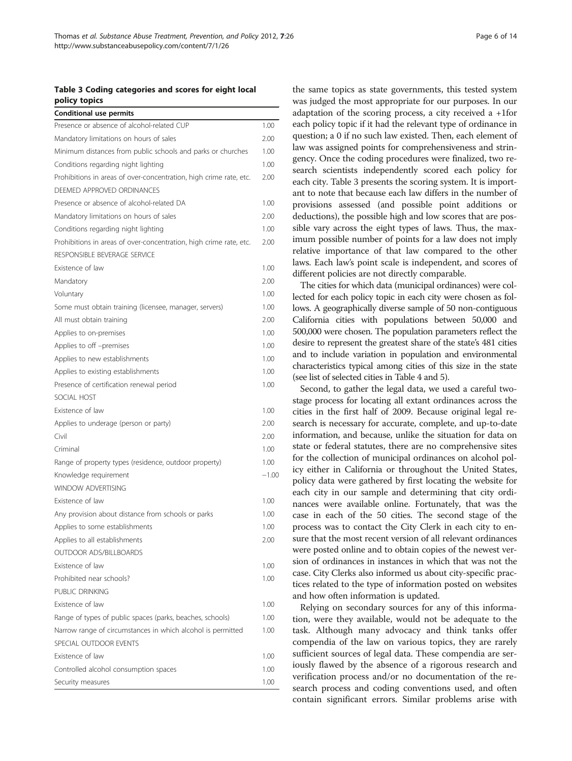<span id="page-5-0"></span>Table 3 Coding categories and scores for eight local policy topics

| <b>Conditional use permits</b>                                     |         |
|--------------------------------------------------------------------|---------|
| Presence or absence of alcohol-related CUP                         | 1.00    |
| Mandatory limitations on hours of sales                            | 2.00    |
| Minimum distances from public schools and parks or churches        | 1.00    |
| Conditions regarding night lighting                                | 1.00    |
| Prohibitions in areas of over-concentration, high crime rate, etc. | 2.00    |
| DEEMED APPROVED ORDINANCES                                         |         |
| Presence or absence of alcohol-related DA                          | 1.00    |
| Mandatory limitations on hours of sales                            | 2.00    |
| Conditions regarding night lighting                                | 1.00    |
| Prohibitions in areas of over-concentration, high crime rate, etc. | 2.00    |
| RESPONSIBLE BEVERAGE SERVICE                                       |         |
| Existence of law                                                   | 1.00    |
| Mandatory                                                          | 2.00    |
| Voluntary                                                          | 1.00    |
| Some must obtain training (licensee, manager, servers)             | 1.00    |
| All must obtain training                                           | 2.00    |
| Applies to on-premises                                             | 1.00    |
| Applies to off -premises                                           | 1.00    |
| Applies to new establishments                                      | 1.00    |
| Applies to existing establishments                                 | 1.00    |
| Presence of certification renewal period                           | 1.00    |
| SOCIAL HOST                                                        |         |
| Existence of law                                                   | 1.00    |
| Applies to underage (person or party)                              | 2.00    |
| Civil                                                              | 2.00    |
| Criminal                                                           | 1.00    |
| Range of property types (residence, outdoor property)              | 1.00    |
| Knowledge requirement                                              | $-1.00$ |
| WINDOW ADVERTISING                                                 |         |
| Existence of law                                                   | 1.00    |
| Any provision about distance from schools or parks                 | 1.00    |
| Applies to some establishments                                     | 1.00    |
| Applies to all establishments                                      | 2.00    |
| OUTDOOR ADS/BILLBOARDS                                             |         |
| Existence of law                                                   | 1.00    |
| Prohibited near schools?                                           | 1.00    |
| PUBLIC DRINKING                                                    |         |
| Existence of law                                                   | 1.00    |
| Range of types of public spaces (parks, beaches, schools)          | 1.00    |
| Narrow range of circumstances in which alcohol is permitted        | 1.00    |
| SPECIAL OUTDOOR EVENTS                                             |         |
| Existence of law                                                   | 1.00    |
| Controlled alcohol consumption spaces                              | 1.00    |
| Security measures                                                  | 1.00    |

the same topics as state governments, this tested system was judged the most appropriate for our purposes. In our adaptation of the scoring process, a city received a +1for each policy topic if it had the relevant type of ordinance in question; a 0 if no such law existed. Then, each element of law was assigned points for comprehensiveness and stringency. Once the coding procedures were finalized, two research scientists independently scored each policy for each city. Table 3 presents the scoring system. It is important to note that because each law differs in the number of provisions assessed (and possible point additions or deductions), the possible high and low scores that are possible vary across the eight types of laws. Thus, the maximum possible number of points for a law does not imply relative importance of that law compared to the other laws. Each law's point scale is independent, and scores of

The cities for which data (municipal ordinances) were collected for each policy topic in each city were chosen as follows. A geographically diverse sample of 50 non-contiguous California cities with populations between 50,000 and 500,000 were chosen. The population parameters reflect the desire to represent the greatest share of the state's 481 cities and to include variation in population and environmental characteristics typical among cities of this size in the state (see list of selected cities in Table [4](#page-6-0) and [5](#page-7-0)).

different policies are not directly comparable.

Second, to gather the legal data, we used a careful twostage process for locating all extant ordinances across the cities in the first half of 2009. Because original legal research is necessary for accurate, complete, and up-to-date information, and because, unlike the situation for data on state or federal statutes, there are no comprehensive sites for the collection of municipal ordinances on alcohol policy either in California or throughout the United States, policy data were gathered by first locating the website for each city in our sample and determining that city ordinances were available online. Fortunately, that was the case in each of the 50 cities. The second stage of the process was to contact the City Clerk in each city to ensure that the most recent version of all relevant ordinances were posted online and to obtain copies of the newest version of ordinances in instances in which that was not the case. City Clerks also informed us about city-specific practices related to the type of information posted on websites and how often information is updated.

Relying on secondary sources for any of this information, were they available, would not be adequate to the task. Although many advocacy and think tanks offer compendia of the law on various topics, they are rarely sufficient sources of legal data. These compendia are seriously flawed by the absence of a rigorous research and verification process and/or no documentation of the research process and coding conventions used, and often contain significant errors. Similar problems arise with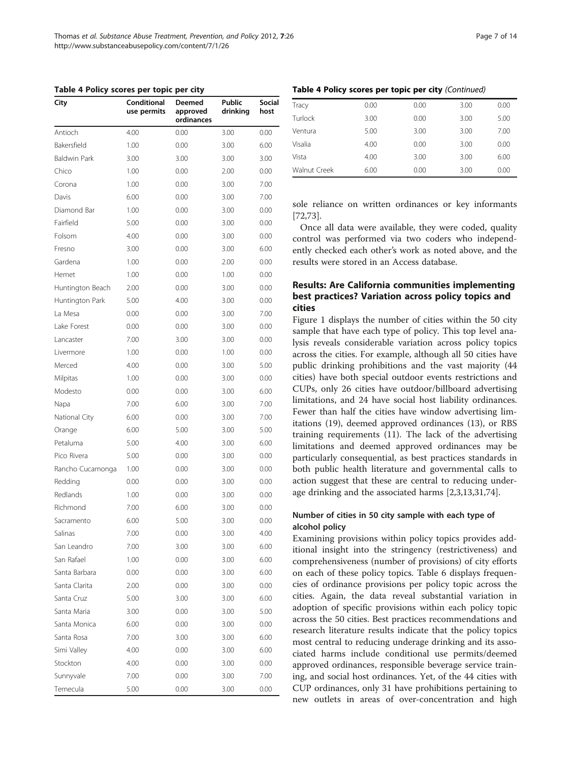### <span id="page-6-0"></span>Table 4 Policy scores per topic per city

| City                | Conditional<br>use permits | Deemed<br>approved<br>ordinances | Public<br>drinking | Social<br>host |
|---------------------|----------------------------|----------------------------------|--------------------|----------------|
| Antioch             | 4.00                       | 0.00                             | 3.00               | 0.00           |
| Bakersfield         | 1.00                       | 0.00                             | 3.00               | 6.00           |
| <b>Baldwin Park</b> | 3.00                       | 3.00                             | 3.00               | 3.00           |
| Chico               | 1.00                       | 0.00                             | 2.00               | 0.00           |
| Corona              | 1.00                       | 0.00                             | 3.00               | 7.00           |
| Davis               | 6.00                       | 0.00                             | 3.00               | 7.00           |
| Diamond Bar         | 1.00                       | 0.00                             | 3.00               | 0.00           |
| Fairfield           | 5.00                       | 0.00                             | 3.00               | 0.00           |
| Folsom              | 4.00                       | 0.00                             | 3.00               | 0.00           |
| Fresno              | 3.00                       | 0.00                             | 3.00               | 6.00           |
| Gardena             | 1.00                       | 0.00                             | 2.00               | 0.00           |
| Hemet               | 1.00                       | 0.00                             | 1.00               | 0.00           |
| Huntington Beach    | 2.00                       | 0.00                             | 3.00               | 0.00           |
| Huntington Park     | 5.00                       | 4.00                             | 3.00               | 0.00           |
| La Mesa             | 0.00                       | 0.00                             | 3.00               | 7.00           |
| Lake Forest         | 0.00                       | 0.00                             | 3.00               | 0.00           |
| Lancaster           | 7.00                       | 3.00                             | 3.00               | 0.00           |
| Livermore           | 1.00                       | 0.00                             | 1.00               | 0.00           |
| Merced              | 4.00                       | 0.00                             | 3.00               | 5.00           |
| Milpitas            | 1.00                       | 0.00                             | 3.00               | 0.00           |
| Modesto             | 0.00                       | 0.00                             | 3.00               | 6.00           |
| Napa                | 7.00                       | 6.00                             | 3.00               | 7.00           |
| National City       | 6.00                       | 0.00                             | 3.00               | 7.00           |
| Orange              | 6.00                       | 5.00                             | 3.00               | 5.00           |
| Petaluma            | 5.00                       | 4.00                             | 3.00               | 6.00           |
| Pico Rivera         | 5.00                       | 0.00                             | 3.00               | 0.00           |
| Rancho Cucamonga    | 1.00                       | 0.00                             | 3.00               | 0.00           |
| Redding             | 0.00                       | 0.00                             | 3.00               | 0.00           |
| Redlands            | 1.00                       | 0.00                             | 3.00               | 0.00           |
| Richmond            | 7.00                       | 6.00                             | 3.00               | 0.00           |
| Sacramento          | 6.00                       | 5.00                             | 3.00               | 0.00           |
| Salinas             | 7.00                       | 0.00                             | 3.00               | 4.00           |
| San Leandro         | 7.00                       | 3.00                             | 3.00               | 6.00           |
| San Rafael          | 1.00                       | 0.00                             | 3.00               | 6.00           |
| Santa Barbara       | 0.00                       | 0.00                             | 3.00               | 6.00           |
| Santa Clarita       | 2.00                       | 0.00                             | 3.00               | 0.00           |
| Santa Cruz          | 5.00                       | 3.00                             | 3.00               | 6.00           |
| Santa Maria         | 3.00                       | 0.00                             | 3.00               | 5.00           |
| Santa Monica        | 6.00                       | 0.00                             | 3.00               | 0.00           |
| Santa Rosa          | 7.00                       | 3.00                             | 3.00               | 6.00           |
| Simi Valley         | 4.00                       | 0.00                             | 3.00               | 6.00           |
| Stockton            | 4.00                       | 0.00                             | 3.00               | 0.00           |
| Sunnyvale           | 7.00                       | 0.00                             | 3.00               | 7.00           |
| Temecula            | 5.00                       | 0.00                             | 3.00               | 0.00           |

### Table 4 Policy scores per topic per city (Continued)

| Tracy               | 0.00 | 0.00 | 3.00 | 0.00 |
|---------------------|------|------|------|------|
| Turlock             | 3.00 | 0.00 | 3.00 | 5.00 |
| Ventura             | 5.00 | 3.00 | 3.00 | 7.00 |
| Visalia             | 4.00 | 0.00 | 3.00 | 0.00 |
| Vista               | 4.00 | 3.00 | 3.00 | 6.00 |
| <b>Walnut Creek</b> | 6.00 | 0.00 | 3.00 | 0.00 |

sole reliance on written ordinances or key informants [[72,73\]](#page-13-0).

Once all data were available, they were coded, quality control was performed via two coders who independently checked each other's work as noted above, and the results were stored in an Access database.

### Results: Are California communities implementing best practices? Variation across policy topics and cities

Figure [1](#page-8-0) displays the number of cities within the 50 city sample that have each type of policy. This top level analysis reveals considerable variation across policy topics across the cities. For example, although all 50 cities have public drinking prohibitions and the vast majority (44 cities) have both special outdoor events restrictions and CUPs, only 26 cities have outdoor/billboard advertising limitations, and 24 have social host liability ordinances. Fewer than half the cities have window advertising limitations (19), deemed approved ordinances (13), or RBS training requirements (11). The lack of the advertising limitations and deemed approved ordinances may be particularly consequential, as best practices standards in both public health literature and governmental calls to action suggest that these are central to reducing underage drinking and the associated harms [\[2,3,13](#page-11-0)[,31](#page-12-0)[,74\]](#page-13-0).

### Number of cities in 50 city sample with each type of alcohol policy

Examining provisions within policy topics provides additional insight into the stringency (restrictiveness) and comprehensiveness (number of provisions) of city efforts on each of these policy topics. Table [6](#page-9-0) displays frequencies of ordinance provisions per policy topic across the cities. Again, the data reveal substantial variation in adoption of specific provisions within each policy topic across the 50 cities. Best practices recommendations and research literature results indicate that the policy topics most central to reducing underage drinking and its associated harms include conditional use permits/deemed approved ordinances, responsible beverage service training, and social host ordinances. Yet, of the 44 cities with CUP ordinances, only 31 have prohibitions pertaining to new outlets in areas of over-concentration and high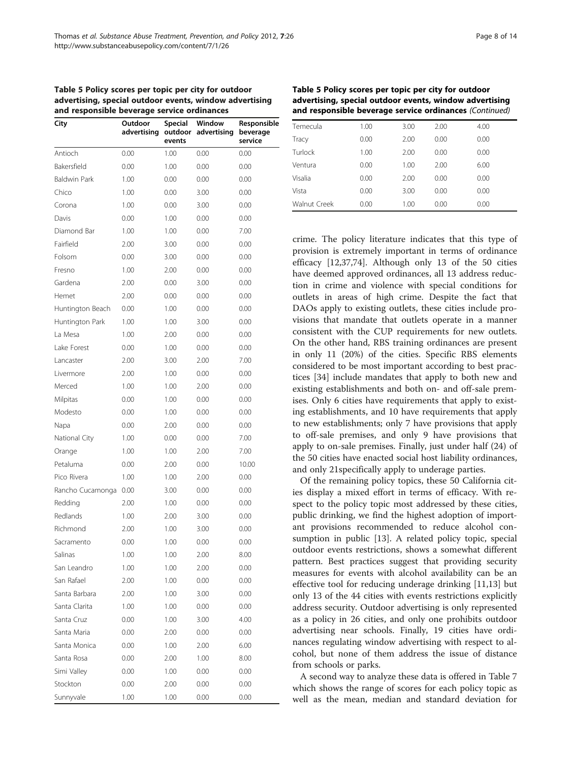| City             | Outdoor<br>advertising | Special<br>outdoor<br>events | Window<br>advertising | Responsible<br>beverage<br>service |
|------------------|------------------------|------------------------------|-----------------------|------------------------------------|
| Antioch          | 0.00                   | 1.00                         | 0.00                  | 0.00                               |
| Bakersfield      | 0.00                   | 1.00                         | 0.00                  | 0.00                               |
| Baldwin Park     | 1.00                   | 0.00                         | 0.00                  | 0.00                               |
| Chico            | 1.00                   | 0.00                         | 3.00                  | 0.00                               |
| Corona           | 1.00                   | 0.00                         | 3.00                  | 0.00                               |
| Davis            | 0.00                   | 1.00                         | 0.00                  | 0.00                               |
| Diamond Bar      | 1.00                   | 1.00                         | 0.00                  | 7.00                               |
| Fairfield        | 2.00                   | 3.00                         | 0.00                  | 0.00                               |
| Folsom           | 0.00                   | 3.00                         | 0.00                  | 0.00                               |
| Fresno           | 1.00                   | 2.00                         | 0.00                  | 0.00                               |
| Gardena          | 2.00                   | 0.00                         | 3.00                  | 0.00                               |
| Hemet            | 2.00                   | 0.00                         | 0.00                  | 0.00                               |
| Huntington Beach | 0.00                   | 1.00                         | 0.00                  | 0.00                               |
| Huntington Park  | 1.00                   | 1.00                         | 3.00                  | 0.00                               |
| La Mesa          | 1.00                   | 2.00                         | 0.00                  | 0.00                               |
| Lake Forest      | 0.00                   | 1.00                         | 0.00                  | 0.00                               |
| Lancaster        | 2.00                   | 3.00                         | 2.00                  | 7.00                               |
| Livermore        | 2.00                   | 1.00                         | 0.00                  | 0.00                               |
| Merced           | 1.00                   | 1.00                         | 2.00                  | 0.00                               |
| Milpitas         | 0.00                   | 1.00                         | 0.00                  | 0.00                               |
| Modesto          | 0.00                   | 1.00                         | 0.00                  | 0.00                               |
| Napa             | 0.00                   | 2.00                         | 0.00                  | 0.00                               |
| National City    | 1.00                   | 0.00                         | 0.00                  | 7.00                               |
| Orange           | 1.00                   | 1.00                         | 2.00                  | 7.00                               |
| Petaluma         | 0.00                   | 2.00                         | 0.00                  | 10.00                              |
| Pico Rivera      | 1.00                   | 1.00                         | 2.00                  | 0.00                               |
| Rancho Cucamonga | 0.00                   | 3.00                         | 0.00                  | 0.00                               |
| Redding          | 2.00                   | 1.00                         | 0.00                  | 0.00                               |
| Redlands         | 1.00                   | 2.00                         | 3.00                  | 0.00                               |
| Richmond         | 2.00                   | 1.00                         | 3.00                  | 0.00                               |
| Sacramento       | 0.00                   | 1.00                         | 0.00                  | 0.00                               |
| Salinas          | 1.00                   | 1.00                         | 2.00                  | 8.00                               |
| San Leandro      | 1.00                   | 1.00                         | 2.00                  | 0.00                               |
| San Rafael       | 2.00                   | 1.00                         | 0.00                  | 0.00                               |
| Santa Barbara    | 2.00                   | 1.00                         | 3.00                  | 0.00                               |
| Santa Clarita    | 1.00                   | 1.00                         | 0.00                  | 0.00                               |
| Santa Cruz       | 0.00                   | 1.00                         | 3.00                  | 4.00                               |
| Santa Maria      | 0.00                   | 2.00                         | 0.00                  | 0.00                               |
| Santa Monica     | 0.00                   | 1.00                         | 2.00                  | 6.00                               |
| Santa Rosa       | 0.00                   | 2.00                         | 1.00                  | 8.00                               |
| Simi Valley      | 0.00                   | 1.00                         | 0.00                  | 0.00                               |
| Stockton         | 0.00                   | 2.00                         | 0.00                  | 0.00                               |
| Sunnyvale        | 1.00                   | 1.00                         | 0.00                  | 0.00                               |

## <span id="page-7-0"></span>Table 5 Policy scores per topic per city for outdoor advertising, special outdoor events, window advertising

| Table 5 Policy scores per topic per city for outdoor    |
|---------------------------------------------------------|
| advertising, special outdoor events, window advertising |
| and responsible beverage service ordinances (Continued) |

| Temecula     | 1.00 | 3.00 | 2.00 | 4.00 |  |
|--------------|------|------|------|------|--|
| Tracy        | 0.00 | 2.00 | 0.00 | 0.00 |  |
| Turlock      | 1.00 | 2.00 | 0.00 | 0.00 |  |
| Ventura      | 0.00 | 1.00 | 2.00 | 6.00 |  |
| Visalia      | 0.00 | 2.00 | 0.00 | 0.00 |  |
| Vista        | 0.00 | 3.00 | 0.00 | 0.00 |  |
| Walnut Creek | 0.00 | 1.00 | 0.00 | 0.00 |  |
|              |      |      |      |      |  |

crime. The policy literature indicates that this type of provision is extremely important in terms of ordinance efficacy [[12](#page-11-0),[37](#page-12-0),[74](#page-13-0)]. Although only 13 of the 50 cities have deemed approved ordinances, all 13 address reduction in crime and violence with special conditions for outlets in areas of high crime. Despite the fact that DAOs apply to existing outlets, these cities include provisions that mandate that outlets operate in a manner consistent with the CUP requirements for new outlets. On the other hand, RBS training ordinances are present in only 11 (20%) of the cities. Specific RBS elements considered to be most important according to best practices [[34\]](#page-12-0) include mandates that apply to both new and existing establishments and both on- and off-sale premises. Only 6 cities have requirements that apply to existing establishments, and 10 have requirements that apply to new establishments; only 7 have provisions that apply to off-sale premises, and only 9 have provisions that apply to on-sale premises. Finally, just under half (24) of the 50 cities have enacted social host liability ordinances, and only 21specifically apply to underage parties.

Of the remaining policy topics, these 50 California cities display a mixed effort in terms of efficacy. With respect to the policy topic most addressed by these cities, public drinking, we find the highest adoption of important provisions recommended to reduce alcohol consumption in public [[13\]](#page-11-0). A related policy topic, special outdoor events restrictions, shows a somewhat different pattern. Best practices suggest that providing security measures for events with alcohol availability can be an effective tool for reducing underage drinking [[11,13\]](#page-11-0) but only 13 of the 44 cities with events restrictions explicitly address security. Outdoor advertising is only represented as a policy in 26 cities, and only one prohibits outdoor advertising near schools. Finally, 19 cities have ordinances regulating window advertising with respect to alcohol, but none of them address the issue of distance from schools or parks.

A second way to analyze these data is offered in Table [7](#page-9-0) which shows the range of scores for each policy topic as well as the mean, median and standard deviation for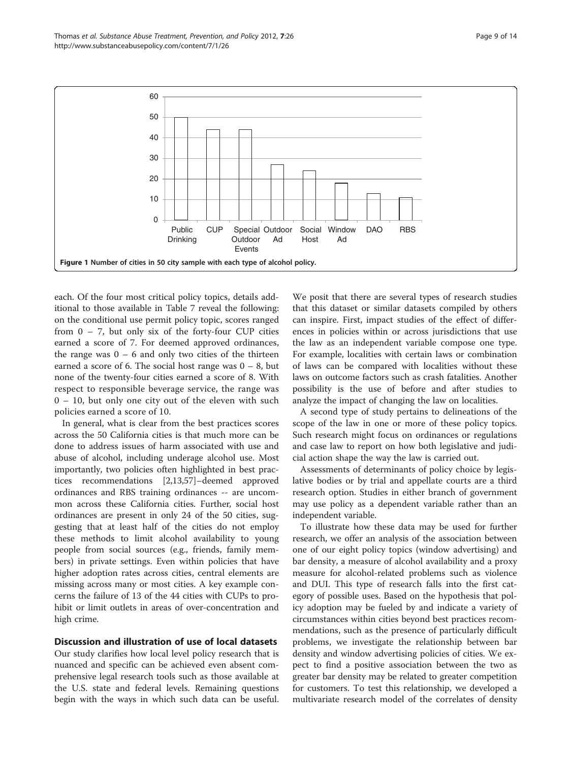<span id="page-8-0"></span>

each. Of the four most critical policy topics, details additional to those available in Table [7](#page-9-0) reveal the following: on the conditional use permit policy topic, scores ranged from  $0 - 7$ , but only six of the forty-four CUP cities earned a score of 7. For deemed approved ordinances, the range was  $0 - 6$  and only two cities of the thirteen earned a score of 6. The social host range was  $0 - 8$ , but none of the twenty-four cities earned a score of 8. With respect to responsible beverage service, the range was  $0 - 10$ , but only one city out of the eleven with such policies earned a score of 10.

In general, what is clear from the best practices scores across the 50 California cities is that much more can be done to address issues of harm associated with use and abuse of alcohol, including underage alcohol use. Most importantly, two policies often highlighted in best practices recommendations [[2,13](#page-11-0),[57](#page-12-0)]–deemed approved ordinances and RBS training ordinances -- are uncommon across these California cities. Further, social host ordinances are present in only 24 of the 50 cities, suggesting that at least half of the cities do not employ these methods to limit alcohol availability to young people from social sources (e.g., friends, family members) in private settings. Even within policies that have higher adoption rates across cities, central elements are missing across many or most cities. A key example concerns the failure of 13 of the 44 cities with CUPs to prohibit or limit outlets in areas of over-concentration and high crime.

### Discussion and illustration of use of local datasets

Our study clarifies how local level policy research that is nuanced and specific can be achieved even absent comprehensive legal research tools such as those available at the U.S. state and federal levels. Remaining questions begin with the ways in which such data can be useful.

We posit that there are several types of research studies that this dataset or similar datasets compiled by others can inspire. First, impact studies of the effect of differences in policies within or across jurisdictions that use the law as an independent variable compose one type. For example, localities with certain laws or combination of laws can be compared with localities without these laws on outcome factors such as crash fatalities. Another possibility is the use of before and after studies to analyze the impact of changing the law on localities.

A second type of study pertains to delineations of the scope of the law in one or more of these policy topics. Such research might focus on ordinances or regulations and case law to report on how both legislative and judicial action shape the way the law is carried out.

Assessments of determinants of policy choice by legislative bodies or by trial and appellate courts are a third research option. Studies in either branch of government may use policy as a dependent variable rather than an independent variable.

To illustrate how these data may be used for further research, we offer an analysis of the association between one of our eight policy topics (window advertising) and bar density, a measure of alcohol availability and a proxy measure for alcohol-related problems such as violence and DUI. This type of research falls into the first category of possible uses. Based on the hypothesis that policy adoption may be fueled by and indicate a variety of circumstances within cities beyond best practices recommendations, such as the presence of particularly difficult problems, we investigate the relationship between bar density and window advertising policies of cities. We expect to find a positive association between the two as greater bar density may be related to greater competition for customers. To test this relationship, we developed a multivariate research model of the correlates of density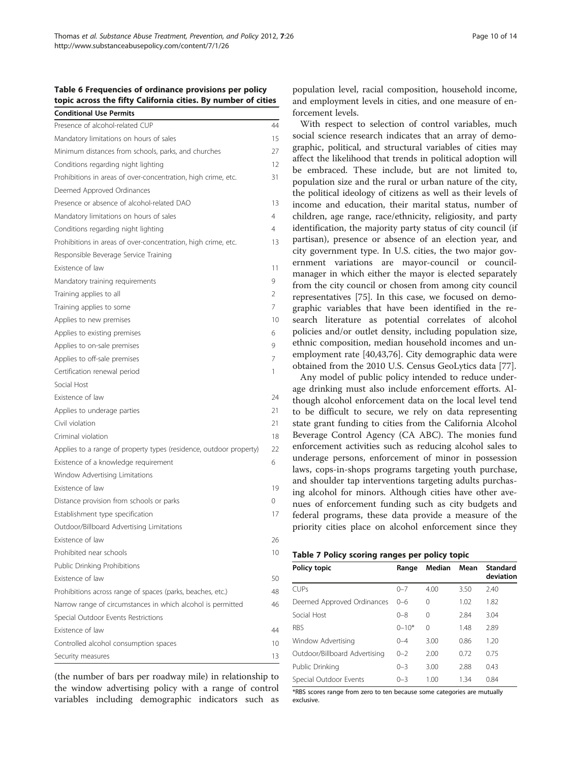<span id="page-9-0"></span>

| <b>Conditional Use Permits</b>                                     |    |
|--------------------------------------------------------------------|----|
| Presence of alcohol-related CUP                                    | 44 |
| Mandatory limitations on hours of sales                            | 15 |
| Minimum distances from schools, parks, and churches                | 27 |
| Conditions regarding night lighting                                | 12 |
| Prohibitions in areas of over-concentration, high crime, etc.      | 31 |
| Deemed Approved Ordinances                                         |    |
| Presence or absence of alcohol-related DAO                         | 13 |
| Mandatory limitations on hours of sales                            | 4  |
| Conditions regarding night lighting                                | 4  |
| Prohibitions in areas of over-concentration, high crime, etc.      | 13 |
| Responsible Beverage Service Training                              |    |
| Existence of law                                                   | 11 |
| Mandatory training requirements                                    | 9  |
| Training applies to all                                            | 2  |
| Training applies to some                                           | 7  |
| Applies to new premises                                            | 10 |
| Applies to existing premises                                       | 6  |
| Applies to on-sale premises                                        | 9  |
| Applies to off-sale premises                                       | 7  |
| Certification renewal period                                       | 1  |
| Social Host                                                        |    |
| Existence of law                                                   | 24 |
| Applies to underage parties                                        | 21 |
| Civil violation                                                    | 21 |
| Criminal violation                                                 | 18 |
| Applies to a range of property types (residence, outdoor property) | 22 |
| Existence of a knowledge requirement                               | 6  |
| Window Advertising Limitations                                     |    |
| Existence of law                                                   | 19 |
| Distance provision from schools or parks                           | 0  |
| Establishment type specification                                   | 17 |
| Outdoor/Billboard Advertising Limitations                          |    |
| Existence of law                                                   | 26 |
| Prohibited near schools                                            | 10 |
| Public Drinking Prohibitions                                       |    |
| Existence of law                                                   | 50 |
| Prohibitions across range of spaces (parks, beaches, etc.)         | 48 |
| Narrow range of circumstances in which alcohol is permitted        | 46 |
| Special Outdoor Events Restrictions                                |    |
| Existence of law                                                   | 44 |
| Controlled alcohol consumption spaces                              | 10 |
| Security measures                                                  | 13 |

(the number of bars per roadway mile) in relationship to the window advertising policy with a range of control variables including demographic indicators such as

population level, racial composition, household income, and employment levels in cities, and one measure of enforcement levels.

With respect to selection of control variables, much social science research indicates that an array of demographic, political, and structural variables of cities may affect the likelihood that trends in political adoption will be embraced. These include, but are not limited to, population size and the rural or urban nature of the city, the political ideology of citizens as well as their levels of income and education, their marital status, number of children, age range, race/ethnicity, religiosity, and party identification, the majority party status of city council (if partisan), presence or absence of an election year, and city government type. In U.S. cities, the two major government variations are mayor-council or councilmanager in which either the mayor is elected separately from the city council or chosen from among city council representatives [[75\]](#page-13-0). In this case, we focused on demographic variables that have been identified in the research literature as potential correlates of alcohol policies and/or outlet density, including population size, ethnic composition, median household incomes and unemployment rate [[40,43,](#page-12-0)[76](#page-13-0)]. City demographic data were obtained from the 2010 U.S. Census GeoLytics data [[77\]](#page-13-0).

Any model of public policy intended to reduce underage drinking must also include enforcement efforts. Although alcohol enforcement data on the local level tend to be difficult to secure, we rely on data representing state grant funding to cities from the California Alcohol Beverage Control Agency (CA ABC). The monies fund enforcement activities such as reducing alcohol sales to underage persons, enforcement of minor in possession laws, cops-in-shops programs targeting youth purchase, and shoulder tap interventions targeting adults purchasing alcohol for minors. Although cities have other avenues of enforcement funding such as city budgets and federal programs, these data provide a measure of the priority cities place on alcohol enforcement since they

|  |  |  | Table 7 Policy scoring ranges per policy topic |  |  |  |  |  |
|--|--|--|------------------------------------------------|--|--|--|--|--|
|--|--|--|------------------------------------------------|--|--|--|--|--|

| Policy topic                  | Range     | Median   | Mean | Standard<br>deviation |
|-------------------------------|-----------|----------|------|-----------------------|
| <b>CUPs</b>                   | $0 - 7$   | 4.00     | 3.50 | 2.40                  |
| Deemed Approved Ordinances    | $0 - 6$   | 0        | 1.02 | 1.82                  |
| Social Host                   | $0 - 8$   | $\Omega$ | 2.84 | 3.04                  |
| <b>RBS</b>                    | $0 - 10*$ | 0        | 1.48 | 2.89                  |
| Window Advertising            | $() - 4$  | 3.00     | 0.86 | 1.20                  |
| Outdoor/Billboard Advertising | $() - ?$  | 2.00     | 0.72 | 0.75                  |
| Public Drinking               | $0 - 3$   | 3.00     | 2.88 | 0.43                  |
| Special Outdoor Events        | $0 - 3$   | 1.00     | 1.34 | 0.84                  |

\*RBS scores range from zero to ten because some categories are mutually exclusive.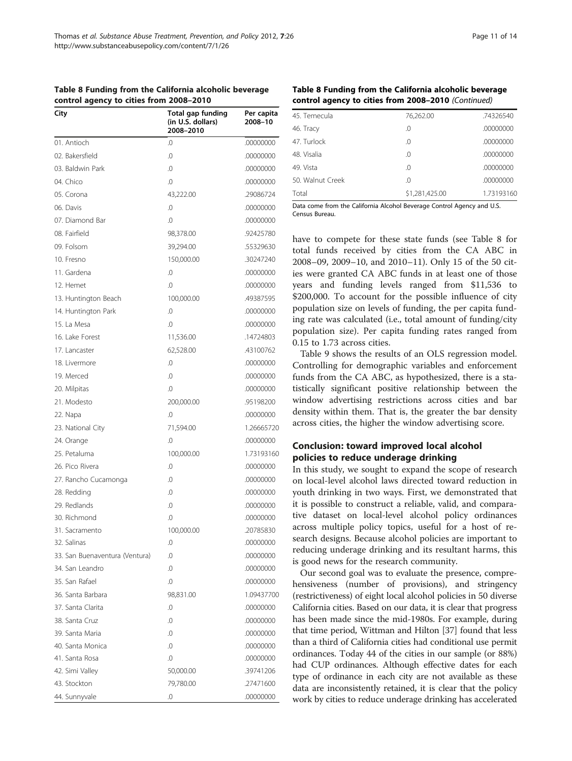| Table 8 Funding from the California alcoholic beverage |  |
|--------------------------------------------------------|--|
| control agency to cities from 2008-2010                |  |

| City                           | Total gap funding<br>(in U.S. dollars)<br>2008-2010 | Per capita<br>2008-10 |  |
|--------------------------------|-----------------------------------------------------|-----------------------|--|
| 01. Antioch                    | .0                                                  | .00000000             |  |
| 02. Bakersfield                | .0                                                  | .00000000             |  |
| 03. Baldwin Park               | .0                                                  | .00000000             |  |
| 04. Chico                      | .0                                                  | .00000000             |  |
| 05. Corona                     | 43,222.00                                           | .29086724             |  |
| 06. Davis                      | .0                                                  | .00000000             |  |
| 07. Diamond Bar                | $\Omega$                                            | .00000000             |  |
| 08. Fairfield                  | 98,378.00                                           | .92425780             |  |
| 09. Folsom                     | 39,294.00                                           | .55329630             |  |
| 10. Fresno                     | 150,000.00                                          | .30247240             |  |
| 11. Gardena                    | .0                                                  | .00000000             |  |
| 12. Hemet                      | .0                                                  | .00000000             |  |
| 13. Huntington Beach           | 100,000.00                                          | .49387595             |  |
| 14. Huntington Park            | .0                                                  | .00000000             |  |
| 15. La Mesa                    | .0                                                  | .00000000             |  |
| 16. Lake Forest                | 11,536.00                                           | .14724803             |  |
| 17. Lancaster                  | 62,528.00                                           | .43100762             |  |
| 18. Livermore                  | .0                                                  | .00000000             |  |
| 19. Merced                     | .0                                                  | .00000000             |  |
| 20. Milpitas                   | .0                                                  | .00000000             |  |
| 21. Modesto                    | 200,000.00                                          | .95198200             |  |
| 22. Napa                       | .0                                                  | .00000000             |  |
| 23. National City              | 71,594.00                                           | 1.26665720            |  |
| 24. Orange                     | .0                                                  | .00000000             |  |
| 25. Petaluma                   | 100,000.00                                          | 1.73193160            |  |
| 26. Pico Rivera                | .0                                                  | .00000000             |  |
| 27. Rancho Cucamonga           | .0                                                  | .00000000             |  |
| 28. Redding                    | .0                                                  | .00000000             |  |
| 29. Redlands                   | .0                                                  | .00000000             |  |
| 30. Richmond                   | .0                                                  | .00000000             |  |
| 31. Sacramento                 | 100,000.00                                          | .20785830             |  |
| 32. Salinas                    | .0                                                  | .00000000             |  |
| 33. San Buenaventura (Ventura) | .0                                                  | .00000000             |  |
| 34. San Leandro                | .0                                                  | .00000000             |  |
| 35. San Rafael                 | .0                                                  | .00000000             |  |
| 36. Santa Barbara              | 98,831.00                                           | 1.09437700            |  |
| 37. Santa Clarita              | .0                                                  | .00000000             |  |
| 38. Santa Cruz                 | .0                                                  | .00000000             |  |
| 39. Santa Maria                | .0                                                  | .00000000             |  |
| 40. Santa Monica               | .0                                                  | .00000000             |  |
| 41. Santa Rosa                 | .0                                                  | .00000000             |  |
| 42. Simi Valley                | 50,000.00                                           | .39741206             |  |
| 43. Stockton                   | 79,780.00                                           | .27471600             |  |
| 44. Sunnyvale                  | .0                                                  | .00000000             |  |

| 45. Temecula     | 76,262.00      | .74326540  |
|------------------|----------------|------------|
| 46. Tracy        | .0             | .00000000  |
| 47. Turlock      | .0             | .00000000  |
| 48. Visalia      | .0             | .00000000  |
| 49. Vista        | .0             | .00000000  |
| 50. Walnut Creek | .0             | .00000000  |
| Total            | \$1,281,425.00 | 1.73193160 |

Data come from the California Alcohol Beverage Control Agency and U.S. Census Bureau.

have to compete for these state funds (see Table 8 for total funds received by cities from the CA ABC in 2008–09, 2009–10, and 2010–11). Only 15 of the 50 cities were granted CA ABC funds in at least one of those years and funding levels ranged from \$11,536 to \$200,000. To account for the possible influence of city population size on levels of funding, the per capita funding rate was calculated (i.e., total amount of funding/city population size). Per capita funding rates ranged from 0.15 to 1.73 across cities.

Table [9](#page-11-0) shows the results of an OLS regression model. Controlling for demographic variables and enforcement funds from the CA ABC, as hypothesized, there is a statistically significant positive relationship between the window advertising restrictions across cities and bar density within them. That is, the greater the bar density across cities, the higher the window advertising score.

### Conclusion: toward improved local alcohol policies to reduce underage drinking

In this study, we sought to expand the scope of research on local-level alcohol laws directed toward reduction in youth drinking in two ways. First, we demonstrated that it is possible to construct a reliable, valid, and comparative dataset on local-level alcohol policy ordinances across multiple policy topics, useful for a host of research designs. Because alcohol policies are important to reducing underage drinking and its resultant harms, this is good news for the research community.

Our second goal was to evaluate the presence, comprehensiveness (number of provisions), and stringency (restrictiveness) of eight local alcohol policies in 50 diverse California cities. Based on our data, it is clear that progress has been made since the mid-1980s. For example, during that time period, Wittman and Hilton [[37](#page-12-0)] found that less than a third of California cities had conditional use permit ordinances. Today 44 of the cities in our sample (or 88%) had CUP ordinances. Although effective dates for each type of ordinance in each city are not available as these data are inconsistently retained, it is clear that the policy work by cities to reduce underage drinking has accelerated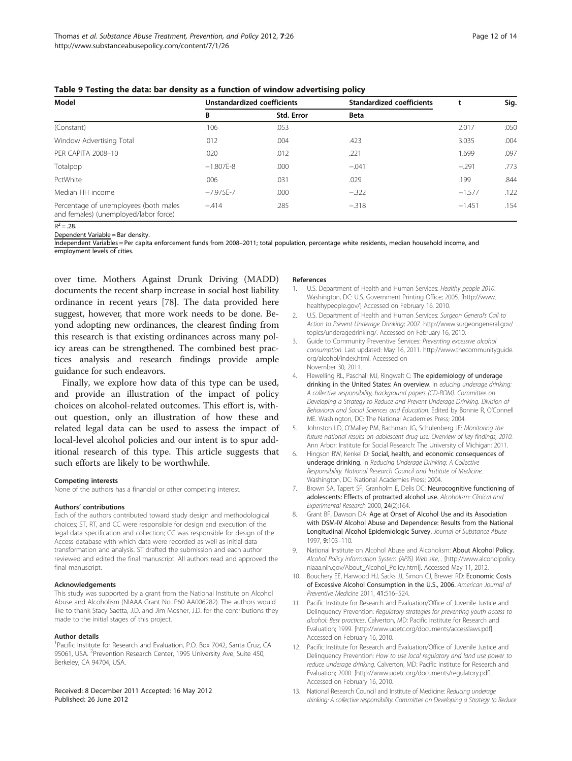<span id="page-11-0"></span>

|  |  |  |  | Table 9 Testing the data: bar density as a function of window advertising policy |  |  |  |
|--|--|--|--|----------------------------------------------------------------------------------|--|--|--|
|--|--|--|--|----------------------------------------------------------------------------------|--|--|--|

| Model                                                                          | Unstandardized coefficients |            | <b>Standardized coefficients</b> |          | Sig. |
|--------------------------------------------------------------------------------|-----------------------------|------------|----------------------------------|----------|------|
|                                                                                | B                           | Std. Error | <b>Beta</b>                      |          |      |
| (Constant)                                                                     | .106                        | .053       |                                  | 2.017    | .050 |
| Window Advertising Total                                                       | .012                        | .004       | .423                             | 3.035    | .004 |
| PER CAPITA 2008-10                                                             | .020                        | .012       | .221                             | 1.699    | .097 |
| Totalpop                                                                       | $-1.807E-8$                 | .000       | $-.041$                          | $-291$   | .773 |
| PctWhite                                                                       | .006                        | .031       | .029                             | .199     | .844 |
| Median HH income                                                               | $-7.975E-7$                 | .000       | $-.322$                          | $-1.577$ | .122 |
| Percentage of unemployees (both males<br>and females) (unemployed/labor force) | $-.414$                     | .285       | $-.318$                          | $-1.451$ | .154 |

 $R^2 = 28$ 

Dependent Variable = Bar density.

Independent Variables = Per capita enforcement funds from 2008–2011; total population, percentage white residents, median household income, and employment levels of cities.

over time. Mothers Against Drunk Driving (MADD) documents the recent sharp increase in social host liability ordinance in recent years [\[78](#page-13-0)]. The data provided here suggest, however, that more work needs to be done. Beyond adopting new ordinances, the clearest finding from this research is that existing ordinances across many policy areas can be strengthened. The combined best practices analysis and research findings provide ample guidance for such endeavors.

Finally, we explore how data of this type can be used, and provide an illustration of the impact of policy choices on alcohol-related outcomes. This effort is, without question, only an illustration of how these and related legal data can be used to assess the impact of local-level alcohol policies and our intent is to spur additional research of this type. This article suggests that such efforts are likely to be worthwhile.

#### Competing interests

None of the authors has a financial or other competing interest.

#### Authors' contributions

Each of the authors contributed toward study design and methodological choices; ST, RT, and CC were responsible for design and execution of the legal data specification and collection; CC was responsible for design of the Access database with which data were recorded as well as initial data transformation and analysis. ST drafted the submission and each author reviewed and edited the final manuscript. All authors read and approved the final manuscript.

#### Acknowledgements

This study was supported by a grant from the National Institute on Alcohol Abuse and Alcoholism (NIAAA Grant No. P60 AA006282). The authors would like to thank Stacy Saetta, J.D. and Jim Mosher, J.D. for the contributions they made to the initial stages of this project.

#### Author details

<sup>1</sup> Pacific Institute for Research and Evaluation, P.O. Box 7042, Santa Cruz, CA 95061, USA. <sup>2</sup>Prevention Research Center, 1995 University Ave, Suite 450, Berkeley, CA 94704, USA.

Received: 8 December 2011 Accepted: 16 May 2012 Published: 26 June 2012

#### References

- 1. U.S. Department of Health and Human Services: Healthy people 2010. Washington, DC: U.S. Government Printing Office; 2005. [\[http://www.](http://www.healthypeople.gov/) [healthypeople.gov/\]](http://www.healthypeople.gov/) Accessed on February 16, 2010.
- 2. U.S. Department of Health and Human Services: Surgeon General's Call to Action to Prevent Underage Drinking; 2007. [http://www.surgeongeneral.gov/](http://www.surgeongeneral.gov/topics/underagedrinking/) [topics/underagedrinking/](http://www.surgeongeneral.gov/topics/underagedrinking/). Accessed on February 16, 2010.
- 3. Guide to Community Preventive Services: Preventing excessive alcohol consumption. Last updated: May 16, 2011. [http://www.thecommunityguide.](http://www.thecommunityguide.org/alcohol/index.html) [org/alcohol/index.html.](http://www.thecommunityguide.org/alcohol/index.html) Accessed on November 30, 2011.
- 4. Flewelling RL, Paschall MJ, Ringwalt C: The epidemiology of underage drinking in the United States: An overview. In educing underage drinking: A collective responsibility, background papers [CD-ROM]. Committee on Developing a Strategy to Reduce and Prevent Underage Drinking. Division of Behavioral and Social Sciences and Education. Edited by Bonnie R, O'Connell ME. Washington, DC: The National Academies Press; 2004.
- 5. Johnston LD, O'Malley PM, Bachman JG, Schulenberg JE: Monitoring the future national results on adolescent drug use: Overview of key findings, 2010. Ann Arbor: Institute for Social Research: The University of Michigan; 2011.
- 6. Hingson RW, Kenkel D: Social, health, and economic consequences of underage drinking. In Reducing Underage Drinking: A Collective Responsibility. National Research Council and Institute of Medicine. Washington, DC: National Academies Press; 2004.
- 7. Brown SA, Tapert SF, Granholm E, Delis DC: Neurocognitive functioning of adolescents: Effects of protracted alcohol use. Alcoholism: Clinical and Experimental Research 2000, 24(2):164.
- 8. Grant BF, Dawson DA: Age at Onset of Alcohol Use and its Association with DSM-IV Alcohol Abuse and Dependence: Results from the National Longitudinal Alcohol Epidemiologic Survey. Journal of Substance Abuse 1997, 9:103–110.
- 9. National Institute on Alcohol Abuse and Alcoholism: About Alcohol Policy. Alcohol Policy Information System (APIS) Web site, . [[http://www.alcoholpolicy.](http://www.alcoholpolicy.niaaa.nih.gov/About_Alcohol_Policy.html) [niaaa.nih.gov/About\\_Alcohol\\_Policy.html\]](http://www.alcoholpolicy.niaaa.nih.gov/About_Alcohol_Policy.html). Accessed May 11, 2012.
- 10. Bouchery EE, Harwood HJ, Sacks JJ, Simon CJ, Brewer RD: Economic Costs of Excessive Alcohol Consumption in the U.S., 2006. American Journal of Preventive Medicine 2011, 41:516–524.
- 11. Pacific Institute for Research and Evaluation/Office of Juvenile Justice and Delinquency Prevention: Regulatory strategies for preventing youth access to alcohol: Best practices. Calverton, MD: Pacific Institute for Research and Evaluation; 1999. [\[http://www.udetc.org/documents/accesslaws.pdf\]](http://www.udetc.org/documents/accesslaws.pdf). Accessed on February 16, 2010.
- 12. Pacific Institute for Research and Evaluation/Office of Juvenile Justice and Delinquency Prevention: How to use local regulatory and land use power to reduce underage drinking. Calverton, MD: Pacific Institute for Research and Evaluation; 2000. [\[http://www.udetc.org/documents/regulatory.pdf\]](http://www.udetc.org/documents/regulatory.pdf). Accessed on February 16, 2010.
- 13. National Research Council and Institute of Medicine: Reducing underage drinking: A collective responsibility. Committee on Developing a Strategy to Reduce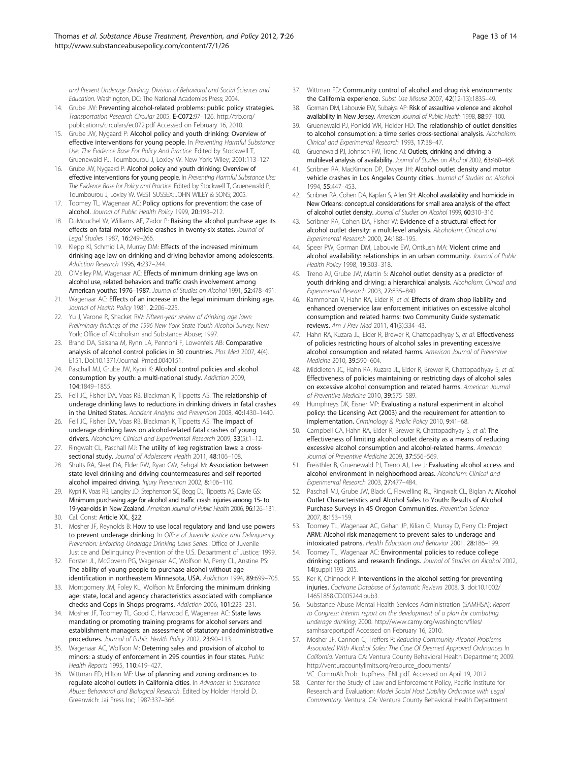<span id="page-12-0"></span>and Prevent Underage Drinking. Division of Behavioral and Social Sciences and Education. Washington, DC: The National Academies Press; 2004.

- 14. Grube JW: Preventing alcohol-related problems: public policy strategies. Transportation Research Circular 2005, E-C072:97–126. [http://trb.org/](http://trb.org/publications/circulars/ec072.pdf) [publications/circulars/ec072.pdf](http://trb.org/publications/circulars/ec072.pdf) Accessed on February 16, 2010.
- 15. Grube JW, Nygaard P: Alcohol policy and youth drinking: Overview of effective interventions for young people. In Preventing Harmful Substance Use: The Evidence Base For Policy And Practice. Edited by Stockwell T, Gruenewald PJ, Toumbourou J, Loxley W. New York: Wiley; 2001:113–127.
- 16. Grube JW, Nygaard P: Alcohol policy and youth drinking: Overview of effective interventions for young people. In Preventing Harmful Substance Use: The Evidence Base for Policy and Practice. Edited by Stockwell T, Gruenewald P, Toumbourou J, Loxley W. WEST SUSSEX: JOHN WILEY & SONS; 2005.
- 17. Toomey TL, Wagenaar AC: Policy options for prevention: the case of alcohol. Journal of Public Health Policy 1999, 20:193–212.
- 18. DuMouchel W, Williams AF, Zador P: Raising the alcohol purchase age: its effects on fatal motor vehicle crashes in twenty-six states. Journal of Legal Studies 1987, 16:249–266.
- 19. Klepp KI, Schmid LA, Murray DM: Effects of the increased minimum drinking age law on drinking and driving behavior among adolescents. Addiction Research 1996, 4:237–244.
- 20. O'Malley PM, Wagenaar AC: Effects of minimum drinking age laws on alcohol use, related behaviors and traffic crash involvement among American youths: 1976–1987. Journal of Studies on Alcohol 1991, 52:478–491.
- 21. Wagenaar AC: Effects of an increase in the legal minimum drinking age. Journal of Health Policy 1981, 2:206–225.
- 22. Yu J, Varone R, Shacket RW: Fifteen-year review of drinking age laws: Preliminary findings of the 1996 New York State Youth Alcohol Survey. New York: Office of Alcoholism and Substance Abuse; 1997.
- 23. Brand DA, Saisana M, Rynn LA, Pennoni F, Lowenfels AB: Comparative analysis of alcohol control policies in 30 countries. Plos Med 2007, 4(4). E151. Doi:[10.1371/Journal](http://dx.doi.org/10.1371/Journal). Pmed.0040151.
- 24. Paschall MJ, Grube JW, Kypri K: Alcohol control policies and alcohol consumption by youth: a multi-national study. Addiction 2009, 104:1849–1855.
- 25. Fell JC, Fisher DA, Voas RB, Blackman K, Tippetts AS: The relationship of underage drinking laws to reductions in drinking drivers in fatal crashes in the United States. Accident Analysis and Prevention 2008, 40:1430–1440.
- 26. Fell JC, Fisher DA, Voas RB, Blackman K, Tippetts AS: The impact of underage drinking laws on alcohol-related fatal crashes of young drivers. Alcoholism: Clinical and Experimental Research 2009, 33(5):1-12.
- 27. Ringwalt CL, Paschall MJ: The utility of keg registration laws: a crosssectional study. Journal of Adolescent Health 2011, 48:106-108.
- 28. Shults RA, Sleet DA, Elder RW, Ryan GW, Sehgal M: Association between state level drinking and driving countermeasures and self reported alcohol impaired driving. Injury Prevention 2002, 8:106–110.
- 29. Kypri K, Voas RB, Langley JD, Stephenson SC, Begg DJ, Tippetts AS, Davie GS: Minimum purchasing age for alcohol and traffic crash injuries among 15- to 19-year-olds in New Zealand. American Journal of Public Health 2006, 96:126–131.
- 30. Cal. Const: Article XX., §22.
- 31. Mosher JF, Reynolds B: How to use local regulatory and land use powers to prevent underage drinking. In Office of Juvenile Justice and Delinquency Prevention: Enforcing Underage Drinking Laws Series.: Office of Juvenile Justice and Delinquincy Prevention of the U.S. Department of Justice; 1999.
- 32. Forster JL, McGovern PG, Wagenaar AC, Wolfson M, Perry CL, Anstine PS: The ability of young people to purchase alcohol without age identification in northeastern Minnesota, USA. Addiction 1994, 89:699–705.
- 33. Montgomery JM, Foley KL, Wolfson M: Enforcing the minimum drinking age: state, local and agency characteristics associated with compliance checks and Cops in Shops programs. Addiction 2006, 101:223–231.
- 34. Mosher JF, Toomey TL, Good C, Harwood E, Wagenaar AC: State laws mandating or promoting training programs for alcohol servers and establishment managers: an assessment of statutory andadministrative procedures. Journal of Public Health Policy 2002, 23:90–113.
- 35. Wagenaar AC, Wolfson M: Deterring sales and provision of alcohol to minors: a study of enforcement in 295 counties in four states. Public Health Reports 1995, 110:419–427.
- 36. Wittman FD, Hilton ME: Use of planning and zoning ordinances to regulate alcohol outlets in California cities. In Advances in Substance Abuse: Behavioral and Biological Research. Edited by Holder Harold D. Greenwich: Jai Press Inc; 1987:337–366.
- 37. Wittman FD: Community control of alcohol and drug risk environments: the California experience. Subst Use Misuse 2007, 42(12-13):1835–49.
- 38. Gorman DM, Labouvie EW, Subaiya AP: Risk of assaultive violence and alcohol availability in New Jersey. American Journal of Public Health 1998, 88:97–100.
- 39. Gruenewald PJ, Ponicki WR, Holder HD: The relationship of outlet densities to alcohol consumption: a time series cross-sectional analysis. Alcoholism: Clinical and Experimental Research 1993, 17:38–47.
- 40. Gruenewald PJ, Johnson FW, Treno AJ: Outlets, drinking and driving: a multilevel analysis of availability. Journal of Studies on Alcohol 2002, 63:460–468.
- 41. Scribner RA, MacKinnon DP, Dwyer JH: Alcohol outlet density and motor vehicle crashes in Los Angeles County cities. Journal of Studies on Alcohol 1994, 55:447–453.
- 42. Scribner RA, Cohen DA, Kaplan S, Allen SH: Alcohol availability and homicide in New Orleans: conceptual considerations for small area analysis of the effect of alcohol outlet density. Journal of Studies on Alcohol 1999, 60:310–316.
- 43. Scribner RA, Cohen DA, Fisher W: Evidence of a structural effect for alcohol outlet density: a multilevel analysis. Alcoholism: Clinical and Experimental Research 2000, 24:188–195.
- 44. Speer PW, Gorman DM, Labouvie EW, Ontkush MA: Violent crime and alcohol availability: relationships in an urban community. Journal of Public Health Policy 1998, 19:303–318.
- Treno AJ, Grube JW, Martin S: Alcohol outlet density as a predictor of youth drinking and driving: a hierarchical analysis. Alcoholism: Clinical and Experimental Research 2003, 27:835–840.
- 46. Rammohan V, Hahn RA, Elder R, et al: Effects of dram shop liability and enhanced overservice law enforcement initiatives on excessive alcohol consumption and related harms: two Community Guide systematic reviews. Am J Prev Med 2011, 41(3):334–43.
- 47. Hahn RA, Kuzara JL, Elder R, Brewer R, Chattopadhyay S, et al: Effectiveness of policies restricting hours of alcohol sales in preventing excessive alcohol consumption and related harms. American Journal of Preventive Medicine 2010, 39:590–604.
- 48. Middleton JC, Hahn RA, Kuzara JL, Elder R, Brewer R, Chattopadhyay S, et al: Effectiveness of policies maintaining or restricting days of alcohol sales on excessive alcohol consumption and related harms. American Journal of Preventive Medicine 2010, 39:575–589.
- 49. Humphreys DK, Eisner MP: Evaluating a natural experiment in alcohol policy: the Licensing Act (2003) and the requirement for attention to implementation. Criminology & Public Policy 2010, 9:41–68.
- Campbell CA, Hahn RA, Elder R, Brewer R, Chattopadhyay S, et al: The effectiveness of limiting alcohol outlet density as a means of reducing excessive alcohol consumption and alcohol-related harms. American Journal of Preventive Medicine 2009, 37:556-569.
- 51. Freisthler B, Gruenewald PJ, Treno AJ, Lee J: Evaluating alcohol access and alcohol environment in neighborhood areas. Alcoholism: Clinical and Experimental Research 2003, 27:477–484.
- 52. Paschall MJ, Grube JW, Black C, Flewelling RL, Ringwalt CL, Biglan A: Alcohol Outlet Characteristics and Alcohol Sales to Youth: Results of Alcohol Purchase Surveys in 45 Oregon Communities. Prevention Science 2007, 8:153–159.
- 53. Toomey TL, Wagenaar AC, Gehan JP, Kilian G, Murray D, Perry CL: Project ARM: Alcohol risk management to prevent sales to underage and intoxicated patrons. Health Education and Behavior 2001, 28:186–199.
- Toomey TL, Wagenaar AC: Environmental policies to reduce college drinking: options and research findings. Journal of Studies on Alcohol 2002, 14(suppl):193–205.
- 55. Ker K, Chinnock P: Interventions in the alcohol setting for preventing injuries. Cochrane Database of Systematic Reviews 2008, 3. doi[:10.1002/](http://dx.doi.org/10.1002/14651858.CD005244.pub3) [14651858.CD005244.pub3](http://dx.doi.org/10.1002/14651858.CD005244.pub3).
- 56. Substance Abuse Mental Health Services Administration (SAMHSA): Report to Congress: Interim report on the development of a plan for combating underage drinking; 2000. [http://www.camy.org/washington/files/](http://www.camy.org/washington/files/samhsareport.pdf) [samhsareport.pdf](http://www.camy.org/washington/files/samhsareport.pdf) Accessed on February 16, 2010.
- 57. Mosher JF, Cannon C, Treffers R: Reducing Community Alcohol Problems Associated With Alcohol Sales: The Case Of Deemed Approved Ordinances In California. Ventura CA: Ventura County Behavioral Health Department; 2009. [http://venturacountylimits.org/resource\\_documents/](http://venturacountylimits.org/resource_documents/VC_CommAlcProb_1upPress_FNL.pdf) [VC\\_CommAlcProb\\_1upPress\\_FNL.pdf](http://venturacountylimits.org/resource_documents/VC_CommAlcProb_1upPress_FNL.pdf). Accessed on April 19, 2012.
- 58. Center for the Study of Law and Enforcement Policy, Pacific Institute for Research and Evaluation: Model Social Host Liability Ordinance with Legal Commentary. Ventura, CA: Ventura County Behavioral Health Department